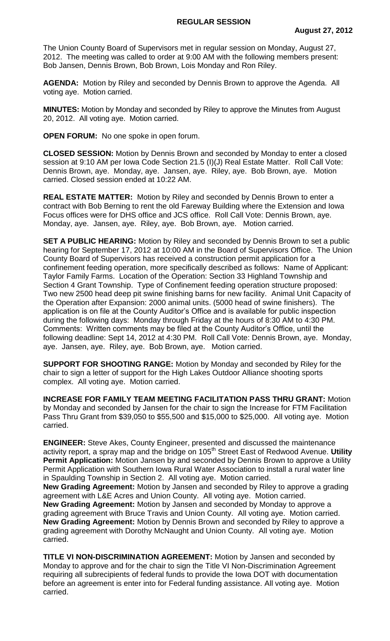The Union County Board of Supervisors met in regular session on Monday, August 27, 2012. The meeting was called to order at 9:00 AM with the following members present: Bob Jansen, Dennis Brown, Bob Brown, Lois Monday and Ron Riley.

**AGENDA:** Motion by Riley and seconded by Dennis Brown to approve the Agenda. All voting aye. Motion carried.

**MINUTES:** Motion by Monday and seconded by Riley to approve the Minutes from August 20, 2012. All voting aye. Motion carried.

**OPEN FORUM:** No one spoke in open forum.

**CLOSED SESSION:** Motion by Dennis Brown and seconded by Monday to enter a closed session at 9:10 AM per Iowa Code Section 21.5 (I)(J) Real Estate Matter. Roll Call Vote: Dennis Brown, aye. Monday, aye. Jansen, aye. Riley, aye. Bob Brown, aye. Motion carried. Closed session ended at 10:22 AM.

**REAL ESTATE MATTER:** Motion by Riley and seconded by Dennis Brown to enter a contract with Bob Berning to rent the old Fareway Building where the Extension and Iowa Focus offices were for DHS office and JCS office. Roll Call Vote: Dennis Brown, aye. Monday, aye. Jansen, aye. Riley, aye. Bob Brown, aye. Motion carried.

**SET A PUBLIC HEARING:** Motion by Riley and seconded by Dennis Brown to set a public hearing for September 17, 2012 at 10:00 AM in the Board of Supervisors Office. The Union County Board of Supervisors has received a construction permit application for a confinement feeding operation, more specifically described as follows: Name of Applicant: Taylor Family Farms. Location of the Operation: Section 33 Highland Township and Section 4 Grant Township. Type of Confinement feeding operation structure proposed: Two new 2500 head deep pit swine finishing barns for new facility. Animal Unit Capacity of the Operation after Expansion: 2000 animal units. (5000 head of swine finishers). The application is on file at the County Auditor's Office and is available for public inspection during the following days: Monday through Friday at the hours of 8:30 AM to 4:30 PM. Comments: Written comments may be filed at the County Auditor's Office, until the following deadline: Sept 14, 2012 at 4:30 PM. Roll Call Vote: Dennis Brown, aye. Monday, aye. Jansen, aye. Riley, aye. Bob Brown, aye. Motion carried.

**SUPPORT FOR SHOOTING RANGE:** Motion by Monday and seconded by Riley for the chair to sign a letter of support for the High Lakes Outdoor Alliance shooting sports complex. All voting aye. Motion carried.

**INCREASE FOR FAMILY TEAM MEETING FACILITATION PASS THRU GRANT:** Motion by Monday and seconded by Jansen for the chair to sign the Increase for FTM Facilitation Pass Thru Grant from \$39,050 to \$55,500 and \$15,000 to \$25,000. All voting aye. Motion carried.

**ENGINEER:** Steve Akes, County Engineer, presented and discussed the maintenance activity report, a spray map and the bridge on 105th Street East of Redwood Avenue. **Utility**  Permit Application: Motion Jansen by and seconded by Dennis Brown to approve a Utility Permit Application with Southern Iowa Rural Water Association to install a rural water line in Spaulding Township in Section 2. All voting aye. Motion carried.

**New Grading Agreement:** Motion by Jansen and seconded by Riley to approve a grading agreement with L&E Acres and Union County. All voting aye. Motion carried. **New Grading Agreement:** Motion by Jansen and seconded by Monday to approve a grading agreement with Bruce Travis and Union County. All voting aye. Motion carried. **New Grading Agreement:** Motion by Dennis Brown and seconded by Riley to approve a grading agreement with Dorothy McNaught and Union County. All voting aye. Motion carried.

**TITLE VI NON-DISCRIMINATION AGREEMENT:** Motion by Jansen and seconded by Monday to approve and for the chair to sign the Title VI Non-Discrimination Agreement requiring all subrecipients of federal funds to provide the Iowa DOT with documentation before an agreement is enter into for Federal funding assistance. All voting aye. Motion carried.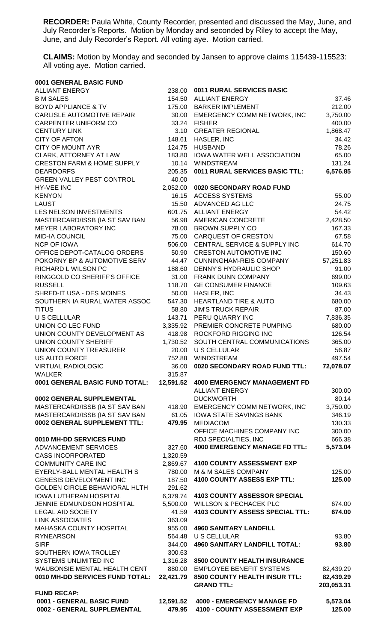**RECORDER:** Paula White, County Recorder, presented and discussed the May, June, and July Recorder's Reports. Motion by Monday and seconded by Riley to accept the May, June, and July Recorder's Report. All voting aye. Motion carried.

**CLAIMS:** Motion by Monday and seconded by Jansen to approve claims 115439-115523: All voting aye. Motion carried.

| 0001 GENERAL BASIC FUND                               |                      |                                                               |                 |
|-------------------------------------------------------|----------------------|---------------------------------------------------------------|-----------------|
| <b>ALLIANT ENERGY</b>                                 |                      | 238.00 0011 RURAL SERVICES BASIC                              |                 |
| <b>B M SALES</b>                                      |                      | 154.50 ALLIANT ENERGY                                         | 37.46           |
| <b>BOYD APPLIANCE &amp; TV</b>                        |                      | 175.00 BARKER IMPLEMENT                                       | 212.00          |
| CARLISLE AUTOMOTIVE REPAIR                            |                      | 30.00 EMERGENCY COMM NETWORK, INC                             | 3,750.00        |
| CARPENTER UNIFORM CO                                  |                      | 33.24 FISHER                                                  | 400.00          |
| <b>CENTURY LINK</b>                                   | 3.10                 | <b>GREATER REGIONAL</b>                                       | 1,868.47        |
| <b>CITY OF AFTON</b><br><b>CITY OF MOUNT AYR</b>      | 148.61               | HASLER, INC                                                   | 34.42<br>78.26  |
| CLARK, ATTORNEY AT LAW                                | 124.75<br>183.80     | <b>HUSBAND</b><br><b>IOWA WATER WELL ASSOCIATION</b>          | 65.00           |
| <b>CRESTON FARM &amp; HOME SUPPLY</b>                 |                      | 10.14 WINDSTREAM                                              | 131.24          |
| <b>DEARDORFS</b>                                      | 205.35               | 0011 RURAL SERVICES BASIC TTL:                                | 6,576.85        |
| <b>GREEN VALLEY PEST CONTROL</b>                      | 40.00                |                                                               |                 |
| HY-VEE INC                                            | 2,052.00             | 0020 SECONDARY ROAD FUND                                      |                 |
| <b>KENYON</b>                                         |                      | 16.15 ACCESS SYSTEMS                                          | 55.00           |
| <b>LAUST</b>                                          |                      | 15.50 ADVANCED AG LLC                                         | 24.75           |
| LES NELSON INVESTMENTS                                |                      | 601.75 ALLIANT ENERGY                                         | 54.42           |
| MASTERCARD/ISSB (IA ST SAV BAN                        |                      | 56.98 AMERICAN CONCRETE                                       | 2,428.50        |
| <b>MEYER LABORATORY INC</b>                           |                      | 78.00 BROWN SUPPLY CO                                         | 167.33          |
| <b>MID-IA COUNCIL</b>                                 |                      | 75.00 CARQUEST OF CRESTON                                     | 67.58           |
| <b>NCP OF IOWA</b>                                    |                      | 506.00 CENTRAL SERVICE & SUPPLY INC                           | 614.70          |
| OFFICE DEPOT-CATALOG ORDERS                           | 50.90                | <b>CRESTON AUTOMOTIVE INC</b>                                 | 150.60          |
| POKORNY BP & AUTOMOTIVE SERV                          | 44.47                | <b>CUNNINGHAM-REIS COMPANY</b>                                | 57,251.83       |
| RICHARD L WILSON PC                                   | 188.60               | DENNY'S HYDRAULIC SHOP                                        | 91.00           |
| RINGGOLD CO SHERIFF'S OFFICE                          | 31.00                | FRANK DUNN COMPANY                                            | 699.00          |
| <b>RUSSELL</b>                                        | 118.70               | <b>GE CONSUMER FINANCE</b>                                    | 109.63          |
| SHRED-IT USA - DES MOINES                             | 50.00                | HASLER, INC                                                   | 34.43           |
| SOUTHERN IA RURAL WATER ASSOC<br><b>TITUS</b>         | 547.30<br>58.80      | <b>HEARTLAND TIRE &amp; AUTO</b><br><b>JIM'S TRUCK REPAIR</b> | 680.00<br>87.00 |
| <b>U S CELLULAR</b>                                   |                      | 143.71 PERU QUARRY INC                                        | 7,836.35        |
| UNION CO LEC FUND                                     |                      | 3,335.92 PREMIER CONCRETE PUMPING                             | 680.00          |
| UNION COUNTY DEVELOPMENT AS                           |                      | 418.98 ROCKFORD RIGGING INC                                   | 126.54          |
| UNION COUNTY SHERIFF                                  | 1,730.52             | SOUTH CENTRAL COMMUNICATIONS                                  | 365.00          |
| <b>UNION COUNTY TREASURER</b>                         | 20.00                | U S CELLULAR                                                  | 56.87           |
| <b>US AUTO FORCE</b>                                  |                      | 752.88 WINDSTREAM                                             | 497.54          |
| <b>VIRTUAL RADIOLOGIC</b>                             | 36.00                | 0020 SECONDARY ROAD FUND TTL:                                 | 72,078.07       |
| <b>WALKER</b>                                         | 315.87               |                                                               |                 |
| 0001 GENERAL BASIC FUND TOTAL:                        | 12,591.52            | <b>4000 EMERGENCY MANAGEMENT FD</b>                           |                 |
|                                                       |                      | <b>ALLIANT ENERGY</b>                                         | 300.00          |
| 0002 GENERAL SUPPLEMENTAL                             |                      | <b>DUCKWORTH</b>                                              | 80.14           |
| MASTERCARD/ISSB (IA ST SAV BAN                        | 418.90               | EMERGENCY COMM NETWORK, INC                                   | 3,750.00        |
| MASTERCARD/ISSB (IA ST SAV BAN                        | 61.05                | <b>IOWA STATE SAVINGS BANK</b>                                | 346.19          |
| 0002 GENERAL SUPPLEMENT TTL:                          | 479.95               | <b>MEDIACOM</b>                                               | 130.33          |
|                                                       |                      | OFFICE MACHINES COMPANY INC                                   | 300.00          |
| 0010 MH-DD SERVICES FUND                              |                      | RDJ SPECIALTIES, INC                                          | 666.38          |
| ADVANCEMENT SERVICES                                  | 327.60               | <b>4000 EMERGENCY MANAGE FD TTL:</b>                          | 5,573.04        |
| <b>CASS INCORPORATED</b><br><b>COMMUNITY CARE INC</b> | 1,320.59<br>2,869.67 | 4100 COUNTY ASSESSMENT EXP                                    |                 |
| EYERLY-BALL MENTAL HEALTH S                           | 780.00               | M & M SALES COMPANY                                           | 125.00          |
| GENESIS DEVELOPMENT INC                               | 187.50               | 4100 COUNTY ASSESS EXP TTL:                                   | 125.00          |
| <b>GOLDEN CIRCLE BEHAVIORAL HLTH</b>                  | 291.62               |                                                               |                 |
| <b>IOWA LUTHERAN HOSPITAL</b>                         | 6,379.74             | 4103 COUNTY ASSESSOR SPECIAL                                  |                 |
| JENNIE EDMUNDSON HOSPITAL                             | 5,500.00             | <b>WILLSON &amp; PECHACEK PLC</b>                             | 674.00          |
| <b>LEGAL AID SOCIETY</b>                              | 41.59                | 4103 COUNTY ASSESS SPECIAL TTL:                               | 674.00          |
| <b>LINK ASSOCIATES</b>                                | 363.09               |                                                               |                 |
| MAHASKA COUNTY HOSPITAL                               | 955.00               | <b>4960 SANITARY LANDFILL</b>                                 |                 |
| <b>RYNEARSON</b>                                      | 564.48               | <b>U S CELLULAR</b>                                           | 93.80           |
| <b>SIRF</b>                                           | 344.00               | <b>4960 SANITARY LANDFILL TOTAL:</b>                          | 93.80           |
| SOUTHERN IOWA TROLLEY                                 | 300.63               |                                                               |                 |
| SYSTEMS UNLIMITED INC                                 | 1,316.28             | 8500 COUNTY HEALTH INSURANCE                                  |                 |
| WAUBONSIE MENTAL HEALTH CENT                          | 880.00               | <b>EMPLOYEE BENEFIT SYSTEMS</b>                               | 82,439.29       |
| 0010 MH-DD SERVICES FUND TOTAL:                       | 22,421.79            | 8500 COUNTY HEALTH INSUR TTL:                                 | 82,439.29       |
|                                                       |                      | <b>GRAND TTL:</b>                                             | 203,053.31      |
| <b>FUND RECAP:</b><br>0001 - GENERAL BASIC FUND       | 12,591.52            | <b>4000 - EMERGENCY MANAGE FD</b>                             | 5,573.04        |
| 0002 - GENERAL SUPPLEMENTAL                           | 479.95               | 4100 - COUNTY ASSESSMENT EXP                                  | 125.00          |